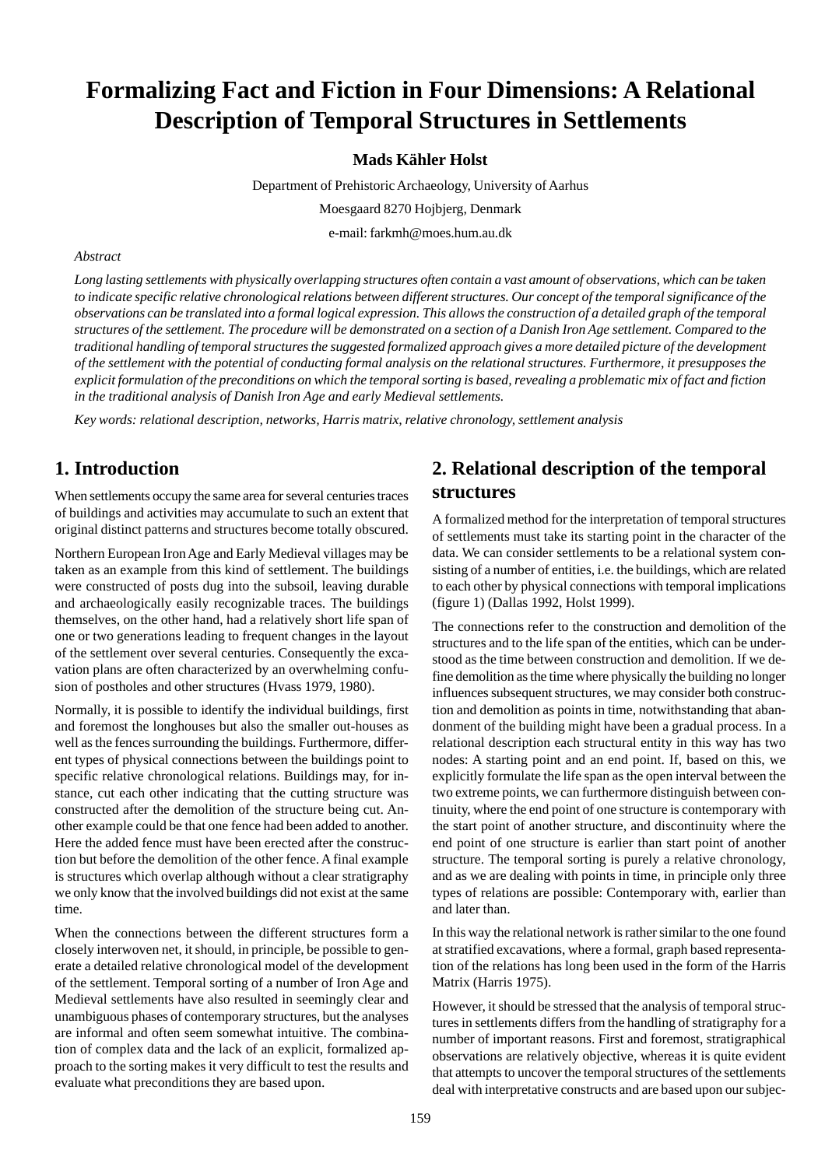# **Formalizing Fact and Fiction in Four Dimensions: A Relational Description of Temporal Structures in Settlements**

### **Mads Kähler Holst**

Department of Prehistoric Archaeology, University of Aarhus

Moesgaard 8270 Hojbjerg, Denmark

e-mail: farkmh@moes.hum.au.dk

### *Abstract*

*Long lasting settlements with physically overlapping structures often contain a vast amount of observations, which can be taken to indicate specific relative chronological relations between different structures. Our concept of the temporal significance of the observations can be translated into a formal logical expression. This allows the construction of a detailed graph of the temporal structures of the settlement. The procedure will be demonstrated on a section of a Danish Iron Age settlement. Compared to the traditional handling of temporal structures the suggested formalized approach gives a more detailed picture of the development of the settlement with the potential of conducting formal analysis on the relational structures. Furthermore, it presupposes the explicit formulation of the preconditions on which the temporal sorting is based, revealing a problematic mix of fact and fiction in the traditional analysis of Danish Iron Age and early Medieval settlements.*

*Key words: relational description, networks, Harris matrix, relative chronology, settlement analysis*

## **1. Introduction**

When settlements occupy the same area for several centuries traces of buildings and activities may accumulate to such an extent that original distinct patterns and structures become totally obscured.

Northern European Iron Age and Early Medieval villages may be taken as an example from this kind of settlement. The buildings were constructed of posts dug into the subsoil, leaving durable and archaeologically easily recognizable traces. The buildings themselves, on the other hand, had a relatively short life span of one or two generations leading to frequent changes in the layout of the settlement over several centuries. Consequently the excavation plans are often characterized by an overwhelming confusion of postholes and other structures (Hvass 1979, 1980).

Normally, it is possible to identify the individual buildings, first and foremost the longhouses but also the smaller out-houses as well as the fences surrounding the buildings. Furthermore, different types of physical connections between the buildings point to specific relative chronological relations. Buildings may, for instance, cut each other indicating that the cutting structure was constructed after the demolition of the structure being cut. Another example could be that one fence had been added to another. Here the added fence must have been erected after the construction but before the demolition of the other fence. A final example is structures which overlap although without a clear stratigraphy we only know that the involved buildings did not exist at the same time.

When the connections between the different structures form a closely interwoven net, it should, in principle, be possible to generate a detailed relative chronological model of the development of the settlement. Temporal sorting of a number of Iron Age and Medieval settlements have also resulted in seemingly clear and unambiguous phases of contemporary structures, but the analyses are informal and often seem somewhat intuitive. The combination of complex data and the lack of an explicit, formalized approach to the sorting makes it very difficult to test the results and evaluate what preconditions they are based upon.

## **2. Relational description of the temporal structures**

A formalized method for the interpretation of temporal structures of settlements must take its starting point in the character of the data. We can consider settlements to be a relational system consisting of a number of entities, i.e. the buildings, which are related to each other by physical connections with temporal implications (figure 1) (Dallas 1992, Holst 1999).

The connections refer to the construction and demolition of the structures and to the life span of the entities, which can be understood as the time between construction and demolition. If we define demolition as the time where physically the building no longer influences subsequent structures, we may consider both construction and demolition as points in time, notwithstanding that abandonment of the building might have been a gradual process. In a relational description each structural entity in this way has two nodes: A starting point and an end point. If, based on this, we explicitly formulate the life span as the open interval between the two extreme points, we can furthermore distinguish between continuity, where the end point of one structure is contemporary with the start point of another structure, and discontinuity where the end point of one structure is earlier than start point of another structure. The temporal sorting is purely a relative chronology, and as we are dealing with points in time, in principle only three types of relations are possible: Contemporary with, earlier than and later than.

In this way the relational network is rather similar to the one found at stratified excavations, where a formal, graph based representation of the relations has long been used in the form of the Harris Matrix (Harris 1975).

However, it should be stressed that the analysis of temporal structures in settlements differs from the handling of stratigraphy for a number of important reasons. First and foremost, stratigraphical observations are relatively objective, whereas it is quite evident that attempts to uncover the temporal structures of the settlements deal with interpretative constructs and are based upon our subjec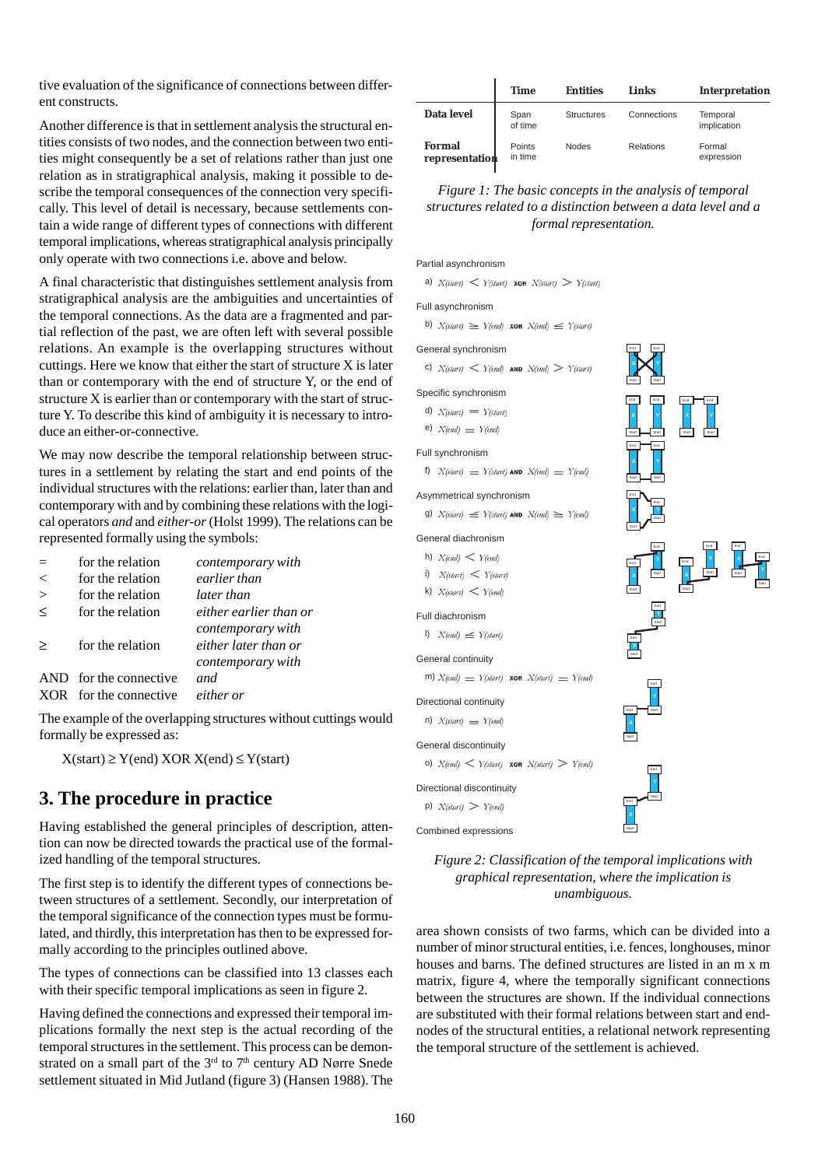tive evaluation of the significance of connections between different constructs.

Another difference is that in settlement analysis the structural entities consists of two nodes, and the connection between two entities might consequently be a set of relations rather than just one relation as in stratigraphical analysis, making it possible to describe the temporal consequences of the connection very specifically. This level of detail is necessary, because settlements contain a wide range of different types of connections with different temporal implications, whereas stratigraphical analysis principally only operate with two connections i.e. above and below.

A final characteristic that distinguishes settlement analysis from stratigraphical analysis are the ambiguities and uncertainties of the temporal connections. As the data are a fragmented and partial reflection of the past, we are often left with several possible relations. An example is the overlapping structures without cuttings. Here we know that either the start of structure X is later than or contemporary with the end of structure Y, or the end of structure X is earlier than or contemporary with the start of structure Y. To describe this kind of ambiguity it is necessary to introduce an either-or-connective.

We may now describe the temporal relationship between structures in a settlement by relating the start and end points of the individual structures with the relations: earlier than, later than and contemporary with and by combining these relations with the logical operators *and* and *either-or* (Holst 1999). The relations can be represented formally using the symbols:

|         | for the relation       | contemporary with                         |
|---------|------------------------|-------------------------------------------|
| $\,<$   | for the relation       | earlier than                              |
| $\geq$  | for the relation       | later than                                |
| $\,<\,$ | for the relation       | either earlier than or                    |
| $\geq$  | for the relation       | contemporary with<br>either later than or |
|         |                        | contemporary with                         |
|         | AND for the connective | and.                                      |
|         | XOR for the connective | either or                                 |

The example of the overlapping structures without cuttings would formally be expressed as:

 $X(\text{start}) \geq Y(\text{end}) XOR X(\text{end}) \leq Y(\text{start})$ 

## **3. The procedure in practice**

Having established the general principles of description, attention can now be directed towards the practical use of the formalized handling of the temporal structures.

The first step is to identify the different types of connections between structures of a settlement. Secondly, our interpretation of the temporal significance of the connection types must be formulated, and thirdly, this interpretation has then to be expressed formally according to the principles outlined above.

The types of connections can be classified into 13 classes each with their specific temporal implications as seen in figure 2.

Having defined the connections and expressed their temporal implications formally the next step is the actual recording of the temporal structures in the settlement. This process can be demonstrated on a small part of the  $3<sup>rd</sup>$  to  $7<sup>th</sup>$  century AD Nørre Snede settlement situated in Mid Jutland (figure 3) (Hansen 1988). The

|                                 | <b>Time</b>       | <b>Entities</b>   | Links       | <b>Interpretation</b>   |
|---------------------------------|-------------------|-------------------|-------------|-------------------------|
| Data level                      | Span<br>of time   | <b>Structures</b> | Connections | Temporal<br>implication |
| <b>Formal</b><br>representation | Points<br>in time | <b>Nodes</b>      | Relations   | Formal<br>expression    |

### *Figure 1: The basic concepts in the analysis of temporal structures related to a distinction between a data level and a formal representation.*

End

End

Start

End

End

End

Start

End Start **Y**

End Start **X** End Start **Y**

Start

**Start** 

Start **Y**

End

Start

End Start **Y** End

End Start **Y**

End Start **Y**

Start

End

**Start** 

End

Start

End

Start **X** End Start **Y**

End Start

> End Start

End Start

End Start **X**

Partial asynchronism

a)  $X(stat)$   $\lt Y(stat)$  xon  $X(stat)$   $>$   $Y(stat)$ 

#### Full asynchronism

b)  $X(stat) \geq Y(end)$  xon  $X(end) \leq Y(start)$ 

#### General synchronism

c)  $X(\text{start}) < Y(\text{end})$  AND  $X(\text{end}) > Y(\text{start})$ 

### Specific synchronism

- d)  $X(stat) = Y(stat)$
- e)  $X(end) = Y(end)$

#### Full synchronism

f)  $X(stat) = Y(stat)$  AND  $X(end) = Y(end)$ 

### Asymmetrical synchronism

g)  $X(\text{start}) \leq Y(\text{start})$  AND  $X(\text{end}) \geq Y(\text{end})$ 

#### General diachronism

- h)  $X$ (end)  $Y$ (end)
- i)  $X(\text{start}) < Y(\text{start})$
- k)  $X(stat) < Y(end)$

#### Full diachronism

l)  $X(end) \leq Y(start)$ 

#### General continuity

 $G_{\text{eff}}$ 

m)  $X$ (end)  $Y$ (start) **xon**  $X$ (start)  $Y$  [end)

Directional continuity

n)  $X(stat) = Y(end)$ 

| General discontinuity                              |                    |
|----------------------------------------------------|--------------------|
| o) $X(end) \lt Y(start)$ xon $X(start) \gt Y(end)$ | $rac{End}{\gamma}$ |
| Directional discontinuitv                          |                    |

### Combined expressions p)  $X(stat) > Y(end)$

### *Figure 2: Classification of the temporal implications with graphical representation, where the implication is unambiguous.*

area shown consists of two farms, which can be divided into a number of minor structural entities, i.e. fences, longhouses, minor houses and barns. The defined structures are listed in an m x m matrix, figure 4, where the temporally significant connections between the structures are shown. If the individual connections are substituted with their formal relations between start and endnodes of the structural entities, a relational network representing the temporal structure of the settlement is achieved.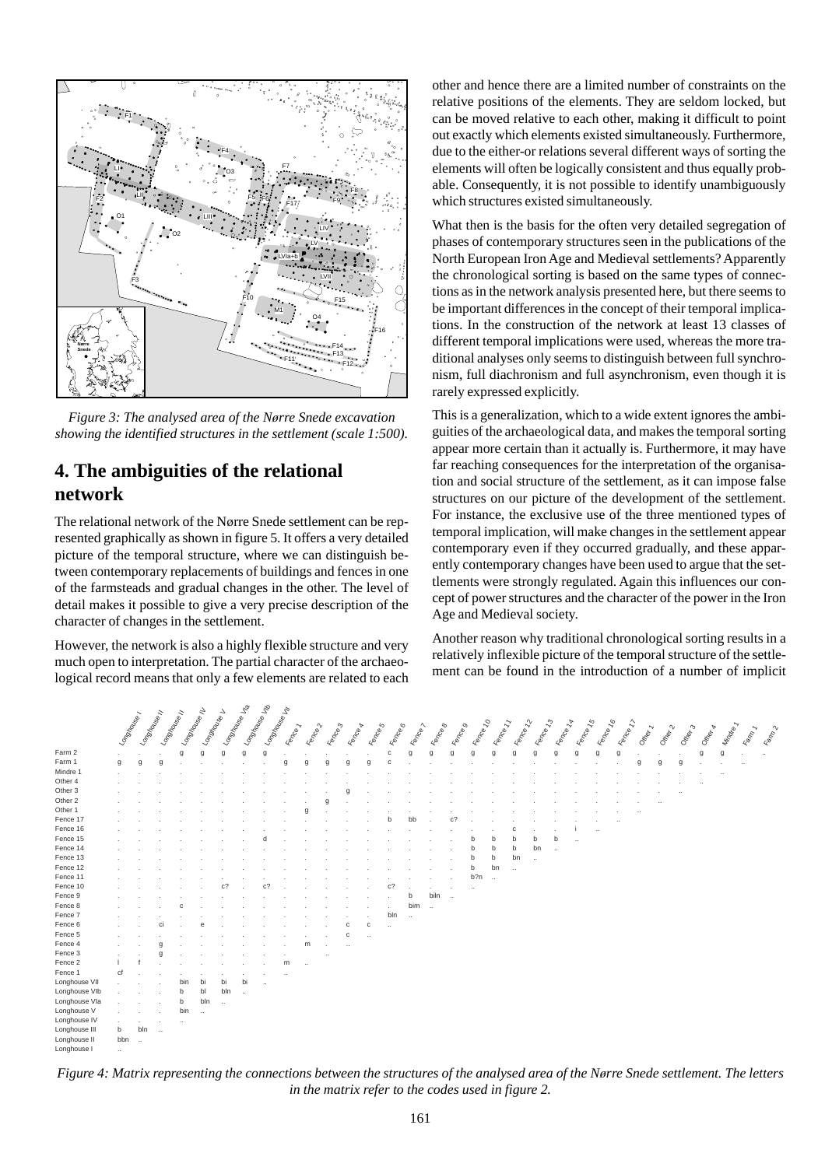

*Figure 3: The analysed area of the Nørre Snede excavation showing the identified structures in the settlement (scale 1:500).*

## **4. The ambiguities of the relational network**

The relational network of the Nørre Snede settlement can be represented graphically as shown in figure 5. It offers a very detailed picture of the temporal structure, where we can distinguish between contemporary replacements of buildings and fences in one of the farmsteads and gradual changes in the other. The level of detail makes it possible to give a very precise description of the character of changes in the settlement.

However, the network is also a highly flexible structure and very much open to interpretation. The partial character of the archaeological record means that only a few elements are related to each other and hence there are a limited number of constraints on the relative positions of the elements. They are seldom locked, but can be moved relative to each other, making it difficult to point out exactly which elements existed simultaneously. Furthermore, due to the either-or relations several different ways of sorting the elements will often be logically consistent and thus equally probable. Consequently, it is not possible to identify unambiguously which structures existed simultaneously.

What then is the basis for the often very detailed segregation of phases of contemporary structures seen in the publications of the North European Iron Age and Medieval settlements? Apparently the chronological sorting is based on the same types of connections as in the network analysis presented here, but there seems to be important differences in the concept of their temporal implications. In the construction of the network at least 13 classes of different temporal implications were used, whereas the more traditional analyses only seems to distinguish between full synchronism, full diachronism and full asynchronism, even though it is rarely expressed explicitly.

This is a generalization, which to a wide extent ignores the ambiguities of the archaeological data, and makes the temporal sorting appear more certain than it actually is. Furthermore, it may have far reaching consequences for the interpretation of the organisation and social structure of the settlement, as it can impose false structures on our picture of the development of the settlement. For instance, the exclusive use of the three mentioned types of temporal implication, will make changes in the settlement appear contemporary even if they occurred gradually, and these apparently contemporary changes have been used to argue that the settlements were strongly regulated. Again this influences our concept of power structures and the character of the power in the Iron Age and Medieval society.

Another reason why traditional chronological sorting results in a relatively inflexible picture of the temporal structure of the settlement can be found in the introduction of a number of implicit

|               |              |            |            |                      |                | Longxigo Ma          | Longine des Ma |                      |                      |                      |         |           |           |          |             |           |          |           |           |                      |                      |           |           |           |           |         |                     |                   |             |          |              |            |
|---------------|--------------|------------|------------|----------------------|----------------|----------------------|----------------|----------------------|----------------------|----------------------|---------|-----------|-----------|----------|-------------|-----------|----------|-----------|-----------|----------------------|----------------------|-----------|-----------|-----------|-----------|---------|---------------------|-------------------|-------------|----------|--------------|------------|
|               |              |            |            |                      |                |                      |                |                      |                      |                      |         |           |           |          |             |           |          |           |           |                      |                      |           |           |           |           |         |                     |                   |             |          |              |            |
|               |              |            |            |                      |                |                      |                |                      |                      |                      |         |           |           |          |             |           |          |           |           |                      |                      |           |           |           |           |         |                     |                   |             |          |              |            |
|               | Longinover   | Longinover | Longinover | Longing Lise II      | Longinover     |                      |                | Longing Life         | Fence 1              | Eenrole 2            | Eeman 3 | Eenrole A | Eeman S   | Eeman B  | Eeman 2     | Eende B   | Eenroe 9 | Fence 10  | Fence 11  | Eender 22            | Eender 73            | Eender 14 | Fence 15  | Eender 16 | Eender 77 | Other 1 | Ottopr <sub>2</sub> | Omer <sub>3</sub> | Other &     | Mindia 1 | <b>Kampy</b> | East Tr. 2 |
| Farm 2        | <b>.</b>     |            |            | g                    | $\mathfrak{g}$ | g                    | $\mathfrak{g}$ | g                    |                      |                      |         |           |           | c        | $\mathsf g$ | g         | g        | g         | g         | g                    |                      | g         | g         | g         | g         |         |                     |                   | $\mathsf g$ | g        | ٠            | $\ldots$   |
| Farm 1        | $\mathsf{g}$ | g          | g          |                      |                |                      |                |                      |                      | q                    | q       | q         |           | C        |             |           |          |           |           |                      |                      |           |           |           |           | g       | g                   | g                 |             |          | $\cdots$     |            |
| Mindre 1      | $\mathbf{r}$ |            |            |                      |                |                      |                |                      |                      |                      |         |           |           |          |             |           |          |           |           |                      |                      |           |           |           |           |         |                     |                   |             |          |              |            |
| Other 4       |              |            |            |                      |                |                      |                |                      |                      |                      |         |           |           |          |             |           |          |           |           |                      |                      |           |           |           |           |         |                     |                   |             |          |              |            |
| Other 3       |              |            |            |                      |                |                      |                |                      |                      |                      |         |           |           |          |             |           |          |           |           |                      |                      |           |           |           |           |         |                     |                   |             |          |              |            |
| Other 2       |              |            |            |                      |                |                      |                |                      |                      |                      |         |           |           |          |             |           |          |           |           |                      |                      |           |           |           |           |         |                     |                   |             |          |              |            |
| Other 1       |              |            |            |                      |                |                      |                |                      |                      |                      |         |           |           |          |             |           |          |           |           |                      |                      |           |           |           |           |         |                     |                   |             |          |              |            |
| Fence 17      |              |            |            |                      |                |                      |                |                      |                      |                      |         |           |           |          |             |           |          |           |           |                      |                      |           |           |           |           |         |                     |                   |             |          |              |            |
| Fence 16      |              |            |            |                      |                |                      |                |                      |                      |                      |         |           |           |          |             |           |          |           |           | ٢                    |                      |           |           |           |           |         |                     |                   |             |          |              |            |
| Fence 15      |              |            |            |                      |                |                      |                |                      |                      |                      |         |           |           |          |             |           |          |           |           |                      | h                    | b         | $\ddotsc$ |           |           |         |                     |                   |             |          |              |            |
| Fence 14      |              |            |            |                      |                |                      |                |                      |                      |                      |         |           |           |          |             |           |          |           | h         | b                    | bn                   | $\ddotsc$ |           |           |           |         |                     |                   |             |          |              |            |
| Fence 13      |              |            |            |                      |                |                      |                |                      |                      |                      |         |           |           |          |             |           |          | h         | b         | bn                   | $\ddot{\phantom{a}}$ |           |           |           |           |         |                     |                   |             |          |              |            |
| Fence 12      |              |            |            |                      |                |                      |                |                      |                      |                      |         |           |           |          |             |           |          | b         | bn        | $\ddot{\phantom{0}}$ |                      |           |           |           |           |         |                     |                   |             |          |              |            |
| Fence 11      |              |            |            |                      |                |                      |                |                      |                      |                      |         |           |           |          |             |           |          | b?n       | $\ddotsc$ |                      |                      |           |           |           |           |         |                     |                   |             |          |              |            |
| Fence 10      |              |            |            |                      |                | c.                   |                | c.                   |                      |                      |         |           |           | c?       |             |           |          | $\ddotsc$ |           |                      |                      |           |           |           |           |         |                     |                   |             |          |              |            |
| Fence 9       |              |            |            |                      |                |                      |                |                      |                      |                      |         |           |           |          | b           | biln      | $\ddots$ |           |           |                      |                      |           |           |           |           |         |                     |                   |             |          |              |            |
| Fence 8       |              |            |            | c                    |                |                      |                |                      |                      |                      |         |           |           |          | bim         | $\ddotsc$ |          |           |           |                      |                      |           |           |           |           |         |                     |                   |             |          |              |            |
| Fence 7       | $\sim$       |            |            |                      |                |                      |                |                      |                      |                      |         |           |           | bln      | $\ddotsc$   |           |          |           |           |                      |                      |           |           |           |           |         |                     |                   |             |          |              |            |
| Fence 6       | $\sim$       |            | ci         |                      |                |                      |                |                      |                      |                      |         | C         | c         | $\ldots$ |             |           |          |           |           |                      |                      |           |           |           |           |         |                     |                   |             |          |              |            |
| Fence 5       | $\mathbf{r}$ |            |            |                      |                |                      |                |                      |                      |                      |         | C         | $\ddotsc$ |          |             |           |          |           |           |                      |                      |           |           |           |           |         |                     |                   |             |          |              |            |
| Fence 4       |              |            | $\Omega$   |                      |                |                      |                |                      |                      | m                    |         |           |           |          |             |           |          |           |           |                      |                      |           |           |           |           |         |                     |                   |             |          |              |            |
| Fence 3       | ÷.           |            | $\Omega$   |                      |                |                      |                |                      |                      |                      |         |           |           |          |             |           |          |           |           |                      |                      |           |           |           |           |         |                     |                   |             |          |              |            |
| Fence 2       |              |            |            |                      |                |                      |                |                      | m                    | $\ddot{\phantom{a}}$ |         |           |           |          |             |           |          |           |           |                      |                      |           |           |           |           |         |                     |                   |             |          |              |            |
| Fence 1       | cf           |            |            |                      |                |                      |                |                      | $\ddot{\phantom{a}}$ |                      |         |           |           |          |             |           |          |           |           |                      |                      |           |           |           |           |         |                     |                   |             |          |              |            |
| Longhouse VII |              |            |            | bin                  | bi             | bi                   | bi             | $\ddot{\phantom{a}}$ |                      |                      |         |           |           |          |             |           |          |           |           |                      |                      |           |           |           |           |         |                     |                   |             |          |              |            |
| Longhouse VIb |              |            |            | b                    | bl             | bln                  | $\ddotsc$      |                      |                      |                      |         |           |           |          |             |           |          |           |           |                      |                      |           |           |           |           |         |                     |                   |             |          |              |            |
| Longhouse Vla |              |            |            | b                    | bln            | $\ddot{\phantom{0}}$ |                |                      |                      |                      |         |           |           |          |             |           |          |           |           |                      |                      |           |           |           |           |         |                     |                   |             |          |              |            |
| Longhouse V   |              |            |            | bin                  | $\ddotsc$      |                      |                |                      |                      |                      |         |           |           |          |             |           |          |           |           |                      |                      |           |           |           |           |         |                     |                   |             |          |              |            |
| Longhouse IV  |              |            |            | $\ddot{\phantom{a}}$ |                |                      |                |                      |                      |                      |         |           |           |          |             |           |          |           |           |                      |                      |           |           |           |           |         |                     |                   |             |          |              |            |
| Longhouse III | b            | bln        | $\ddotsc$  |                      |                |                      |                |                      |                      |                      |         |           |           |          |             |           |          |           |           |                      |                      |           |           |           |           |         |                     |                   |             |          |              |            |
| Longhouse II  | bbn          | $\ddots$   |            |                      |                |                      |                |                      |                      |                      |         |           |           |          |             |           |          |           |           |                      |                      |           |           |           |           |         |                     |                   |             |          |              |            |
| Longhouse I   | $\sim$       |            |            |                      |                |                      |                |                      |                      |                      |         |           |           |          |             |           |          |           |           |                      |                      |           |           |           |           |         |                     |                   |             |          |              |            |

*Figure 4: Matrix representing the connections between the structures of the analysed area of the Nørre Snede settlement. The letters in the matrix refer to the codes used in figure 2.*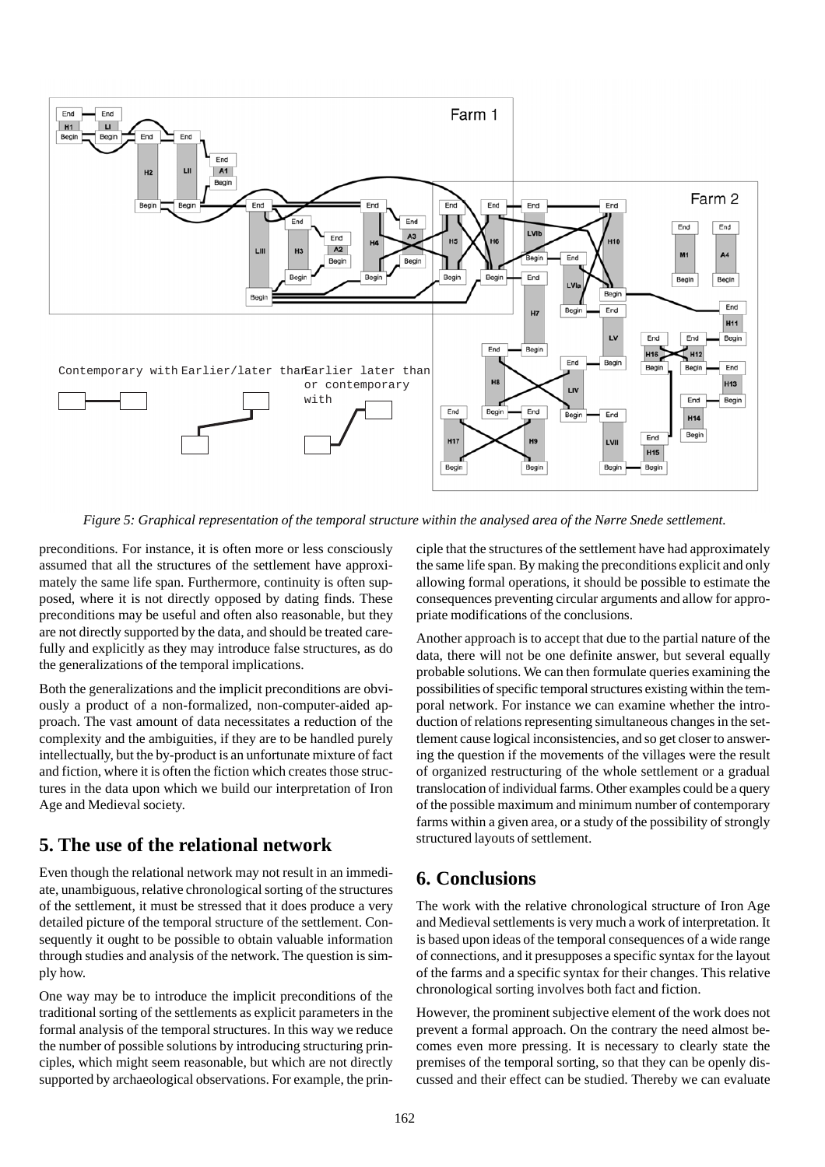

*Figure 5: Graphical representation of the temporal structure within the analysed area of the Nørre Snede settlement.*

preconditions. For instance, it is often more or less consciously assumed that all the structures of the settlement have approximately the same life span. Furthermore, continuity is often supposed, where it is not directly opposed by dating finds. These preconditions may be useful and often also reasonable, but they are not directly supported by the data, and should be treated carefully and explicitly as they may introduce false structures, as do the generalizations of the temporal implications.

Both the generalizations and the implicit preconditions are obviously a product of a non-formalized, non-computer-aided approach. The vast amount of data necessitates a reduction of the complexity and the ambiguities, if they are to be handled purely intellectually, but the by-product is an unfortunate mixture of fact and fiction, where it is often the fiction which creates those structures in the data upon which we build our interpretation of Iron Age and Medieval society.

## **5. The use of the relational network**

Even though the relational network may not result in an immediate, unambiguous, relative chronological sorting of the structures of the settlement, it must be stressed that it does produce a very detailed picture of the temporal structure of the settlement. Consequently it ought to be possible to obtain valuable information through studies and analysis of the network. The question is simply how.

One way may be to introduce the implicit preconditions of the traditional sorting of the settlements as explicit parameters in the formal analysis of the temporal structures. In this way we reduce the number of possible solutions by introducing structuring principles, which might seem reasonable, but which are not directly supported by archaeological observations. For example, the principle that the structures of the settlement have had approximately the same life span. By making the preconditions explicit and only allowing formal operations, it should be possible to estimate the consequences preventing circular arguments and allow for appropriate modifications of the conclusions.

Another approach is to accept that due to the partial nature of the data, there will not be one definite answer, but several equally probable solutions. We can then formulate queries examining the possibilities of specific temporal structures existing within the temporal network. For instance we can examine whether the introduction of relations representing simultaneous changes in the settlement cause logical inconsistencies, and so get closer to answering the question if the movements of the villages were the result of organized restructuring of the whole settlement or a gradual translocation of individual farms. Other examples could be a query of the possible maximum and minimum number of contemporary farms within a given area, or a study of the possibility of strongly structured layouts of settlement.

## **6. Conclusions**

The work with the relative chronological structure of Iron Age and Medieval settlements is very much a work of interpretation. It is based upon ideas of the temporal consequences of a wide range of connections, and it presupposes a specific syntax for the layout of the farms and a specific syntax for their changes. This relative chronological sorting involves both fact and fiction.

However, the prominent subjective element of the work does not prevent a formal approach. On the contrary the need almost becomes even more pressing. It is necessary to clearly state the premises of the temporal sorting, so that they can be openly discussed and their effect can be studied. Thereby we can evaluate